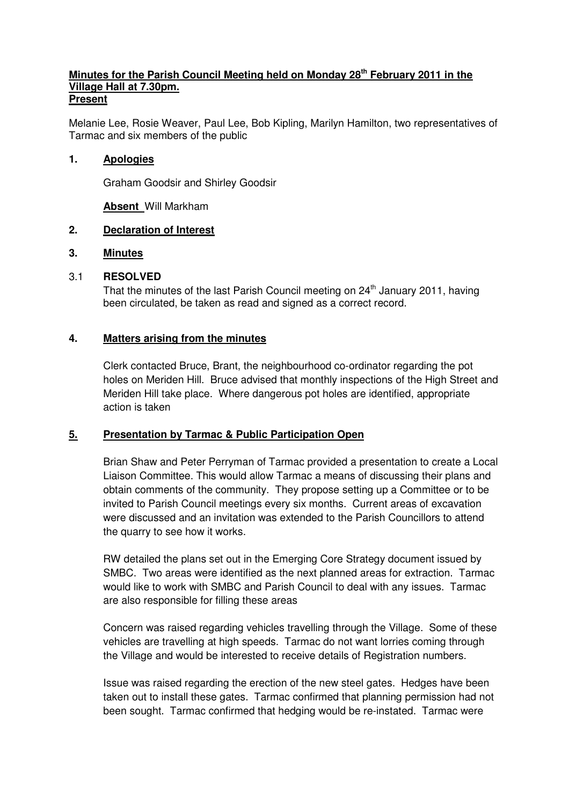#### **Minutes for the Parish Council Meeting held on Monday 28th February 2011 in the Village Hall at 7.30pm. Present**

Melanie Lee, Rosie Weaver, Paul Lee, Bob Kipling, Marilyn Hamilton, two representatives of Tarmac and six members of the public

#### **1. Apologies**

Graham Goodsir and Shirley Goodsir

**Absent** Will Markham

#### **2. Declaration of Interest**

#### **3. Minutes**

#### 3.1 **RESOLVED**

That the minutes of the last Parish Council meeting on 24<sup>th</sup> January 2011, having been circulated, be taken as read and signed as a correct record.

#### **4. Matters arising from the minutes**

 Clerk contacted Bruce, Brant, the neighbourhood co-ordinator regarding the pot holes on Meriden Hill. Bruce advised that monthly inspections of the High Street and Meriden Hill take place. Where dangerous pot holes are identified, appropriate action is taken

### **5. Presentation by Tarmac & Public Participation Open**

 Brian Shaw and Peter Perryman of Tarmac provided a presentation to create a Local Liaison Committee. This would allow Tarmac a means of discussing their plans and obtain comments of the community. They propose setting up a Committee or to be invited to Parish Council meetings every six months. Current areas of excavation were discussed and an invitation was extended to the Parish Councillors to attend the quarry to see how it works.

 RW detailed the plans set out in the Emerging Core Strategy document issued by SMBC. Two areas were identified as the next planned areas for extraction. Tarmac would like to work with SMBC and Parish Council to deal with any issues. Tarmac are also responsible for filling these areas

 Concern was raised regarding vehicles travelling through the Village. Some of these vehicles are travelling at high speeds. Tarmac do not want lorries coming through the Village and would be interested to receive details of Registration numbers.

 Issue was raised regarding the erection of the new steel gates. Hedges have been taken out to install these gates. Tarmac confirmed that planning permission had not been sought. Tarmac confirmed that hedging would be re-instated. Tarmac were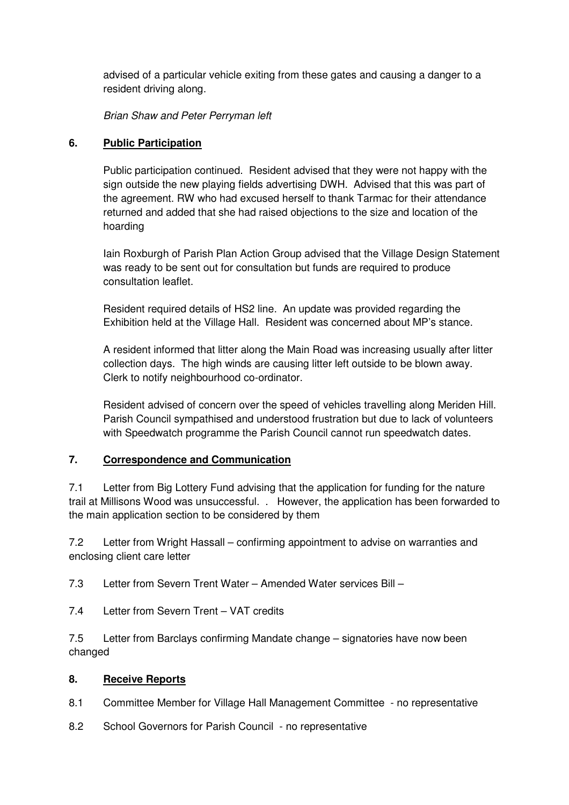advised of a particular vehicle exiting from these gates and causing a danger to a resident driving along.

Brian Shaw and Peter Perryman left

## **6. Public Participation**

 Public participation continued. Resident advised that they were not happy with the sign outside the new playing fields advertising DWH. Advised that this was part of the agreement. RW who had excused herself to thank Tarmac for their attendance returned and added that she had raised objections to the size and location of the hoarding

 Iain Roxburgh of Parish Plan Action Group advised that the Village Design Statement was ready to be sent out for consultation but funds are required to produce consultation leaflet.

 Resident required details of HS2 line. An update was provided regarding the Exhibition held at the Village Hall. Resident was concerned about MP's stance.

 A resident informed that litter along the Main Road was increasing usually after litter collection days. The high winds are causing litter left outside to be blown away. Clerk to notify neighbourhood co-ordinator.

 Resident advised of concern over the speed of vehicles travelling along Meriden Hill. Parish Council sympathised and understood frustration but due to lack of volunteers with Speedwatch programme the Parish Council cannot run speedwatch dates.

### **7. Correspondence and Communication**

7.1 Letter from Big Lottery Fund advising that the application for funding for the nature trail at Millisons Wood was unsuccessful. . However, the application has been forwarded to the main application section to be considered by them

7.2 Letter from Wright Hassall – confirming appointment to advise on warranties and enclosing client care letter

7.3 Letter from Severn Trent Water – Amended Water services Bill –

7.4 Letter from Severn Trent – VAT credits

7.5 Letter from Barclays confirming Mandate change – signatories have now been changed

### **8. Receive Reports**

- 8.1 Committee Member for Village Hall Management Committee no representative
- 8.2 School Governors for Parish Council no representative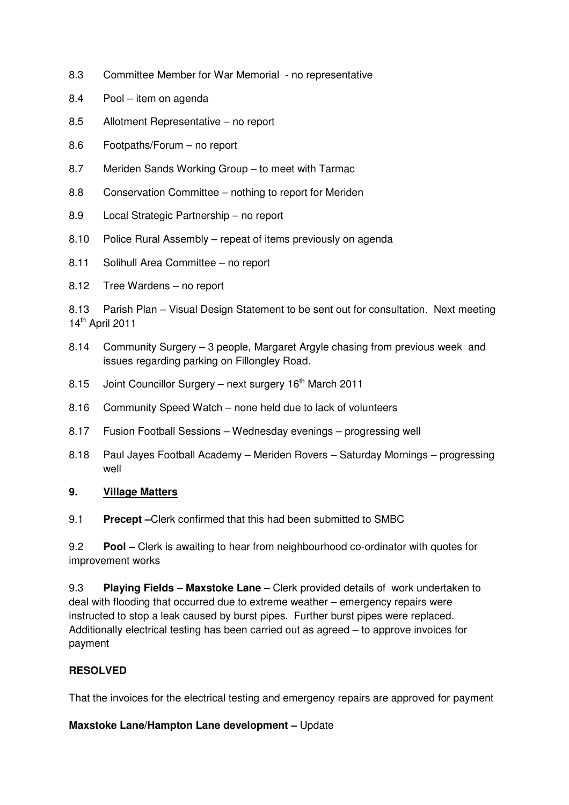- 8.3 Committee Member for War Memorial no representative
- 8.4 Pool item on agenda
- 8.5 Allotment Representative no report
- 8.6 Footpaths/Forum no report
- 8.7 Meriden Sands Working Group to meet with Tarmac
- 8.8 Conservation Committee nothing to report for Meriden
- 8.9 Local Strategic Partnership no report
- 8.10 Police Rural Assembly repeat of items previously on agenda
- 8.11 Solihull Area Committee no report
- 8.12 Tree Wardens no report

8.13 Parish Plan – Visual Design Statement to be sent out for consultation. Next meeting 14<sup>th</sup> April 2011

- 8.14 Community Surgery 3 people, Margaret Argyle chasing from previous week and issues regarding parking on Fillongley Road.
- 8.15 Joint Councillor Surgery next surgery  $16<sup>th</sup>$  March 2011
- 8.16 Community Speed Watch none held due to lack of volunteers
- 8.17 Fusion Football Sessions Wednesday evenings progressing well
- 8.18 Paul Jayes Football Academy Meriden Rovers Saturday Mornings progressing well

### **9. Village Matters**

9.1 **Precept –**Clerk confirmed that this had been submitted to SMBC

9.2 **Pool –** Clerk is awaiting to hear from neighbourhood co-ordinator with quotes for improvement works

9.3 **Playing Fields – Maxstoke Lane –** Clerk provided details of work undertaken to deal with flooding that occurred due to extreme weather – emergency repairs were instructed to stop a leak caused by burst pipes. Further burst pipes were replaced. Additionally electrical testing has been carried out as agreed – to approve invoices for payment

### **RESOLVED**

That the invoices for the electrical testing and emergency repairs are approved for payment

#### **Maxstoke Lane/Hampton Lane development –** Update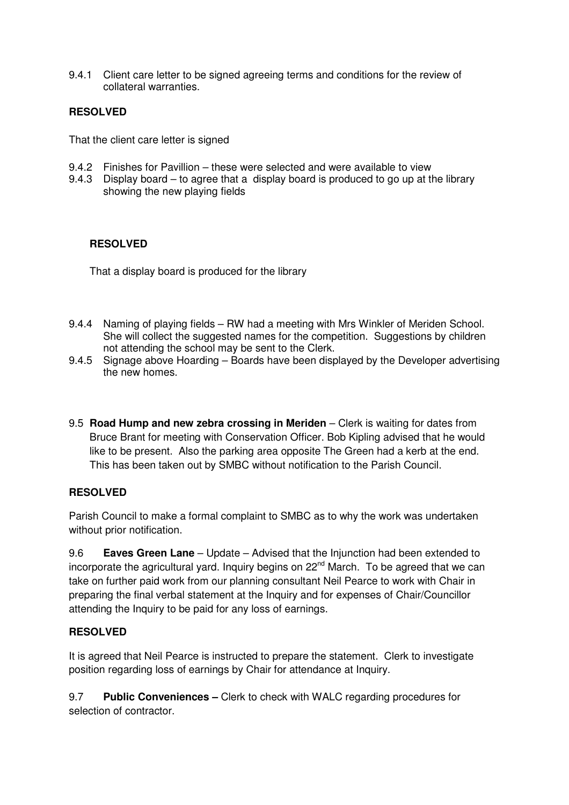9.4.1 Client care letter to be signed agreeing terms and conditions for the review of collateral warranties.

## **RESOLVED**

That the client care letter is signed

- 9.4.2 Finishes for Pavillion these were selected and were available to view
- 9.4.3 Display board to agree that a display board is produced to go up at the library showing the new playing fields

### **RESOLVED**

That a display board is produced for the library

- 9.4.4 Naming of playing fields RW had a meeting with Mrs Winkler of Meriden School. She will collect the suggested names for the competition. Suggestions by children not attending the school may be sent to the Clerk.
- 9.4.5 Signage above Hoarding Boards have been displayed by the Developer advertising the new homes.
- 9.5 **Road Hump and new zebra crossing in Meriden** Clerk is waiting for dates from Bruce Brant for meeting with Conservation Officer. Bob Kipling advised that he would like to be present. Also the parking area opposite The Green had a kerb at the end. This has been taken out by SMBC without notification to the Parish Council.

### **RESOLVED**

Parish Council to make a formal complaint to SMBC as to why the work was undertaken without prior notification.

9.6 **Eaves Green Lane** – Update – Advised that the Injunction had been extended to incorporate the agricultural yard. Inquiry begins on 22<sup>nd</sup> March. To be agreed that we can take on further paid work from our planning consultant Neil Pearce to work with Chair in preparing the final verbal statement at the Inquiry and for expenses of Chair/Councillor attending the Inquiry to be paid for any loss of earnings.

### **RESOLVED**

It is agreed that Neil Pearce is instructed to prepare the statement. Clerk to investigate position regarding loss of earnings by Chair for attendance at Inquiry.

9.7 **Public Conveniences –** Clerk to check with WALC regarding procedures for selection of contractor.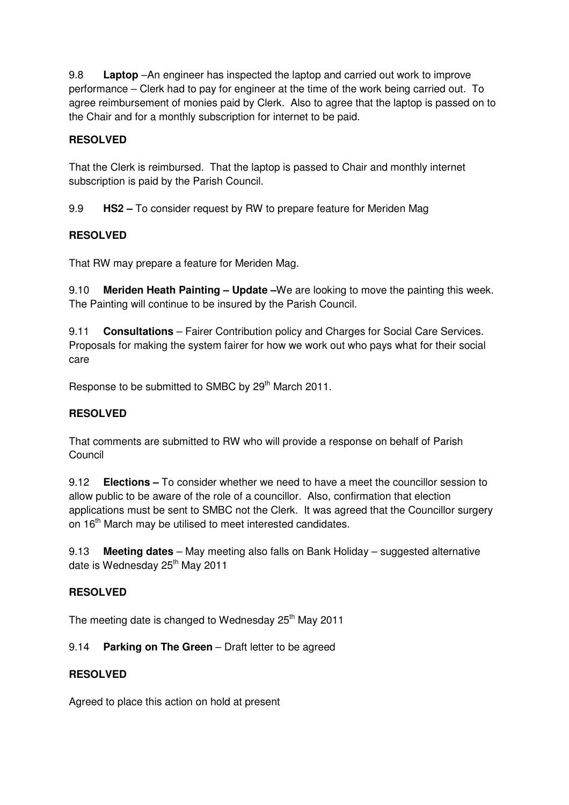9.8 **Laptop** –An engineer has inspected the laptop and carried out work to improve performance – Clerk had to pay for engineer at the time of the work being carried out. To agree reimbursement of monies paid by Clerk. Also to agree that the laptop is passed on to the Chair and for a monthly subscription for internet to be paid.

## **RESOLVED**

That the Clerk is reimbursed. That the laptop is passed to Chair and monthly internet subscription is paid by the Parish Council.

9.9 **HS2 –** To consider request by RW to prepare feature for Meriden Mag

## **RESOLVED**

That RW may prepare a feature for Meriden Mag.

9.10 **Meriden Heath Painting – Update –**We are looking to move the painting this week. The Painting will continue to be insured by the Parish Council.

9.11 **Consultations** – Fairer Contribution policy and Charges for Social Care Services. Proposals for making the system fairer for how we work out who pays what for their social care

Response to be submitted to SMBC by 29<sup>th</sup> March 2011.

### **RESOLVED**

That comments are submitted to RW who will provide a response on behalf of Parish Council

9.12 **Elections –** To consider whether we need to have a meet the councillor session to allow public to be aware of the role of a councillor. Also, confirmation that election applications must be sent to SMBC not the Clerk. It was agreed that the Councillor surgery on 16<sup>th</sup> March may be utilised to meet interested candidates.

9.13 **Meeting dates** – May meeting also falls on Bank Holiday – suggested alternative date is Wednesday 25<sup>th</sup> May 2011

### **RESOLVED**

The meeting date is changed to Wednesday 25<sup>th</sup> May 2011

### 9.14 **Parking on The Green** – Draft letter to be agreed

### **RESOLVED**

Agreed to place this action on hold at present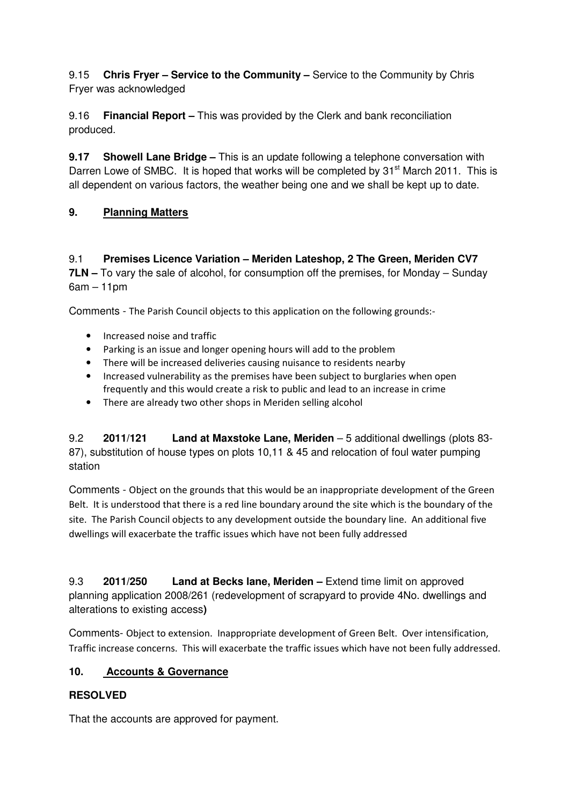9.15 **Chris Fryer – Service to the Community –** Service to the Community by Chris Fryer was acknowledged

9.16 **Financial Report –** This was provided by the Clerk and bank reconciliation produced.

**9.17 Showell Lane Bridge –** This is an update following a telephone conversation with Darren Lowe of SMBC. It is hoped that works will be completed by  $31<sup>st</sup>$  March 2011. This is all dependent on various factors, the weather being one and we shall be kept up to date.

# **9. Planning Matters**

9.1 **Premises Licence Variation – Meriden Lateshop, 2 The Green, Meriden CV7 7LN –** To vary the sale of alcohol, for consumption off the premises, for Monday – Sunday 6am – 11pm

Comments - The Parish Council objects to this application on the following grounds:-

- Increased noise and traffic
- Parking is an issue and longer opening hours will add to the problem
- There will be increased deliveries causing nuisance to residents nearby
- Increased vulnerability as the premises have been subject to burglaries when open frequently and this would create a risk to public and lead to an increase in crime
- There are already two other shops in Meriden selling alcohol

9.2 **2011/121 Land at Maxstoke Lane, Meriden** – 5 additional dwellings (plots 83- 87), substitution of house types on plots 10,11 & 45 and relocation of foul water pumping station

Comments - Object on the grounds that this would be an inappropriate development of the Green Belt. It is understood that there is a red line boundary around the site which is the boundary of the site. The Parish Council objects to any development outside the boundary line. An additional five dwellings will exacerbate the traffic issues which have not been fully addressed

9.3 **2011/250 Land at Becks lane, Meriden –** Extend time limit on approved planning application 2008/261 (redevelopment of scrapyard to provide 4No. dwellings and alterations to existing access**)** 

Comments- Object to extension. Inappropriate development of Green Belt. Over intensification, Traffic increase concerns. This will exacerbate the traffic issues which have not been fully addressed.

# **10. Accounts & Governance**

# **RESOLVED**

That the accounts are approved for payment.